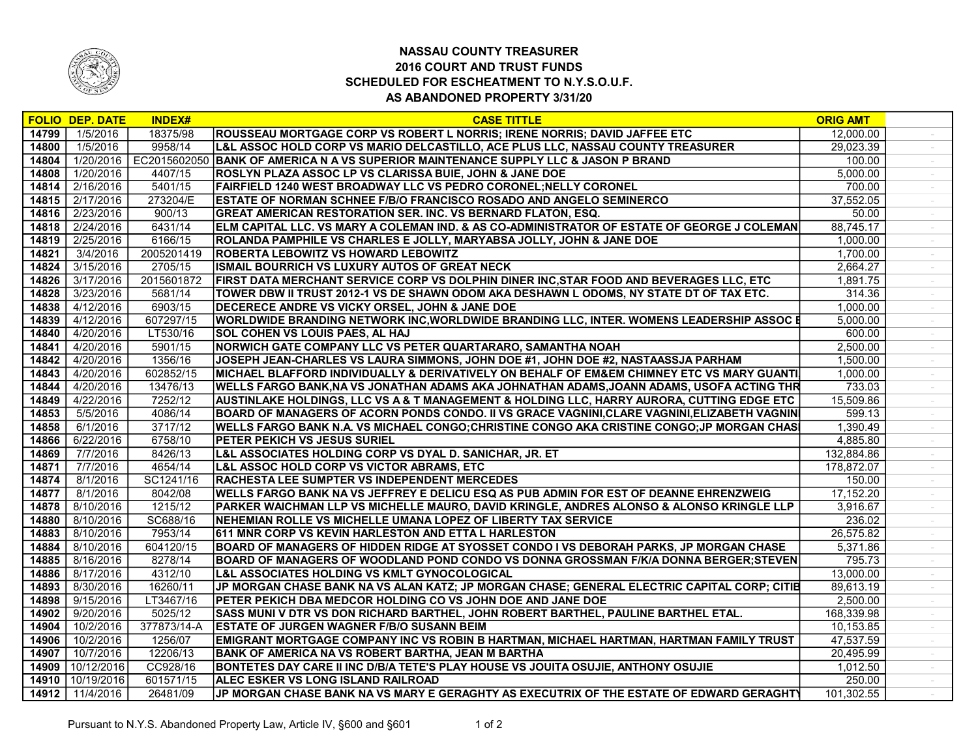

## NASSAU COUNTY TREASURER 2016 COURT AND TRUST FUNDS SCHEDULED FOR ESCHEATMENT TO N.Y.S.O.U.F. AS ABANDONED PROPERTY 3/31/20

|       | <b>FOLIO DEP. DATE</b> | <b>INDEX#</b> | <b>CASE TITTLE</b>                                                                              | <b>ORIG AMT</b> |  |
|-------|------------------------|---------------|-------------------------------------------------------------------------------------------------|-----------------|--|
| 14799 | 1/5/2016               | 18375/98      | ROUSSEAU MORTGAGE CORP VS ROBERT L NORRIS; IRENE NORRIS; DAVID JAFFEE ETC                       | 12.000.00       |  |
| 14800 | 1/5/2016               | 9958/14       | L&L ASSOC HOLD CORP VS MARIO DELCASTILLO, ACE PLUS LLC, NASSAU COUNTY TREASURER                 | 29,023.39       |  |
| 14804 | 1/20/2016              |               | EC2015602050 BANK OF AMERICA N A VS SUPERIOR MAINTENANCE SUPPLY LLC & JASON P BRAND             | 100.00          |  |
| 14808 | 1/20/2016              | 4407/15       | ROSLYN PLAZA ASSOC LP VS CLARISSA BUIE, JOHN & JANE DOE                                         | 5,000.00        |  |
| 14814 | 2/16/2016              | 5401/15       | FAIRFIELD 1240 WEST BROADWAY LLC VS PEDRO CORONEL; NELLY CORONEL                                | 700.00          |  |
| 14815 | 2/17/2016              | 273204/E      | <b>ESTATE OF NORMAN SCHNEE F/B/O FRANCISCO ROSADO AND ANGELO SEMINERCO</b>                      | 37,552.05       |  |
| 14816 | 2/23/2016              | 900/13        | <b>GREAT AMERICAN RESTORATION SER. INC. VS BERNARD FLATON, ESQ.</b>                             | 50.00           |  |
| 14818 | 2/24/2016              | 6431/14       | ELM CAPITAL LLC. VS MARY A COLEMAN IND. & AS CO-ADMINISTRATOR OF ESTATE OF GEORGE J COLEMAN     | 88,745.17       |  |
| 14819 | 2/25/2016              | 6166/15       | ROLANDA PAMPHILE VS CHARLES E JOLLY, MARYABSA JOLLY, JOHN & JANE DOE                            | 1,000.00        |  |
| 14821 | 3/4/2016               | 2005201419    | <b>ROBERTA LEBOWITZ VS HOWARD LEBOWITZ</b>                                                      | 1,700.00        |  |
| 14824 | 3/15/2016              | 2705/15       | ISMAIL BOURRICH VS LUXURY AUTOS OF GREAT NECK                                                   | 2.664.27        |  |
| 14826 | 3/17/2016              | 2015601872    | FIRST DATA MERCHANT SERVICE CORP VS DOLPHIN DINER INC, STAR FOOD AND BEVERAGES LLC, ETC         | 1,891.75        |  |
| 14828 | 3/23/2016              | 5681/14       | TOWER DBW II TRUST 2012-1 VS DE SHAWN ODOM AKA DESHAWN L ODOMS, NY STATE DT OF TAX ETC.         | 314.36          |  |
| 14838 | 4/12/2016              | 6903/15       | DECERECE ANDRE VS VICKY ORSEL, JOHN & JANE DOE                                                  | 1,000.00        |  |
| 14839 | 4/12/2016              | 607297/15     | <b>WORLDWIDE BRANDING NETWORK INC, WORLDWIDE BRANDING LLC, INTER. WOMENS LEADERSHIP ASSOC E</b> | 5,000.00        |  |
| 14840 | 4/20/2016              | LT530/16      | <b>SOL COHEN VS LOUIS PAES, AL HAJ</b>                                                          | 600.00          |  |
| 14841 | 4/20/2016              | 5901/15       | NORWICH GATE COMPANY LLC VS PETER QUARTARARO, SAMANTHA NOAH                                     | 2,500.00        |  |
| 14842 | 4/20/2016              | 1356/16       | JOSEPH JEAN-CHARLES VS LAURA SIMMONS, JOHN DOE #1, JOHN DOE #2, NASTAASSJA PARHAM               | 1,500.00        |  |
| 14843 | 4/20/2016              | 602852/15     | MICHAEL BLAFFORD INDIVIDUALLY & DERIVATIVELY ON BEHALF OF EM&EM CHIMNEY ETC VS MARY GUANTI.     | 1,000.00        |  |
| 14844 | 4/20/2016              | 13476/13      | WELLS FARGO BANK,NA VS JONATHAN ADAMS AKA JOHNATHAN ADAMS,JOANN ADAMS, USOFA ACTING THR         | 733.03          |  |
| 14849 | 4/22/2016              | 7252/12       | AUSTINLAKE HOLDINGS, LLC VS A & T MANAGEMENT & HOLDING LLC, HARRY AURORA, CUTTING EDGE ETC      | 15,509.86       |  |
| 14853 | 5/5/2016               | 4086/14       | BOARD OF MANAGERS OF ACORN PONDS CONDO. II VS GRACE VAGNINI,CLARE VAGNINI,ELIZABETH VAGNIN      | 599.13          |  |
| 14858 | 6/1/2016               | 3717/12       | WELLS FARGO BANK N.A. VS MICHAEL CONGO;CHRISTINE CONGO AKA CRISTINE CONGO;JP MORGAN CHASI       | 1,390.49        |  |
| 14866 | 6/22/2016              | 6758/10       | <b>PETER PEKICH VS JESUS SURIEL</b>                                                             | 4,885.80        |  |
| 14869 | 7/7/2016               | 8426/13       | L&L ASSOCIATES HOLDING CORP VS DYAL D. SANICHAR, JR. ET                                         | 132,884.86      |  |
| 14871 | 7/7/2016               | 4654/14       | L&L ASSOC HOLD CORP VS VICTOR ABRAMS, ETC                                                       | 178,872.07      |  |
| 14874 | 8/1/2016               | SC1241/16     | <b>RACHESTA LEE SUMPTER VS INDEPENDENT MERCEDES</b>                                             | 150.00          |  |
| 14877 | 8/1/2016               | 8042/08       | <b>WELLS FARGO BANK NA VS JEFFREY E DELICU ESQ AS PUB ADMIN FOR EST OF DEANNE EHRENZWEIG</b>    | 17,152.20       |  |
| 14878 | 8/10/2016              | 1215/12       | PARKER WAICHMAN LLP VS MICHELLE MAURO, DAVID KRINGLE, ANDRES ALONSO & ALONSO KRINGLE LLP        | 3,916.67        |  |
| 14880 | 8/10/2016              | SC688/16      | NEHEMIAN ROLLE VS MICHELLE UMANA LOPEZ OF LIBERTY TAX SERVICE                                   | 236.02          |  |
| 14883 | 8/10/2016              | 7953/14       | 611 MNR CORP VS KEVIN HARLESTON AND ETTA L HARLESTON                                            | 26,575.82       |  |
| 14884 | 8/10/2016              | 604120/15     | BOARD OF MANAGERS OF HIDDEN RIDGE AT SYOSSET CONDO I VS DEBORAH PARKS, JP MORGAN CHASE          | 5,371.86        |  |
| 14885 | 8/16/2016              | 8278/14       | BOARD OF MANAGERS OF WOODLAND POND CONDO VS DONNA GROSSMAN F/K/A DONNA BERGER; STEVEN           | 795.73          |  |
| 14886 | 8/17/2016              | 4312/10       | L&L ASSOCIATES HOLDING VS KMLT GYNOCOLOGICAL                                                    | 13,000.00       |  |
| 14893 | 8/30/2016              | 16260/11      | JP MORGAN CHASE BANK NA VS ALAN KATZ; JP MORGAN CHASE; GENERAL ELECTRIC CAPITAL CORP; CITIB     | 89,613.19       |  |
| 14898 | 9/15/2016              | LT3467/16     | PETER PEKICH DBA MEDCOR HOLDING CO VS JOHN DOE AND JANE DOE                                     | 2,500.00        |  |
| 14902 | 9/20/2016              | 5025/12       | SASS MUNI V DTR VS DON RICHARD BARTHEL, JOHN ROBERT BARTHEL, PAULINE BARTHEL ETAL.              | 168,339.98      |  |
| 14904 | 10/2/2016              | 377873/14-A   | <b>ESTATE OF JURGEN WAGNER F/B/O SUSANN BEIM</b>                                                | 10,153.85       |  |
| 14906 | 10/2/2016              | 1256/07       | EMIGRANT MORTGAGE COMPANY INC VS ROBIN B HARTMAN, MICHAEL HARTMAN, HARTMAN FAMILY TRUST         | 47,537.59       |  |
| 14907 | 10/7/2016              | 12206/13      | BANK OF AMERICA NA VS ROBERT BARTHA, JEAN M BARTHA                                              | 20,495.99       |  |
| 14909 | 10/12/2016             | CC928/16      | BONTETES DAY CARE II INC D/B/A TETE'S PLAY HOUSE VS JOUITA OSUJIE, ANTHONY OSUJIE               | 1,012.50        |  |
| 14910 | 10/19/2016             | 601571/15     | <b>ALEC ESKER VS LONG ISLAND RAILROAD</b>                                                       | 250.00          |  |
|       | 14912 11/4/2016        | 26481/09      | JP MORGAN CHASE BANK NA VS MARY E GERAGHTY AS EXECUTRIX OF THE ESTATE OF EDWARD GERAGHTY        | 101,302.55      |  |